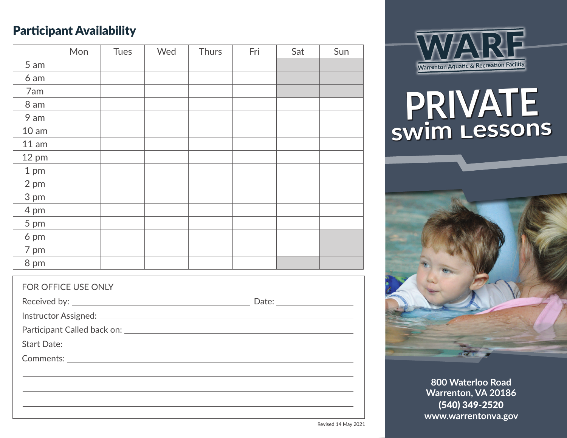### Participant Availability

|                | Mon | <b>Tues</b> | Wed | Thurs | Fri | Sat | Sun |
|----------------|-----|-------------|-----|-------|-----|-----|-----|
| 5 am           |     |             |     |       |     |     |     |
| 6 am           |     |             |     |       |     |     |     |
| 7am            |     |             |     |       |     |     |     |
| 8 am           |     |             |     |       |     |     |     |
| 9 am           |     |             |     |       |     |     |     |
| 10 am          |     |             |     |       |     |     |     |
| 11 am          |     |             |     |       |     |     |     |
| 12 pm          |     |             |     |       |     |     |     |
| 1 pm           |     |             |     |       |     |     |     |
| 2 pm           |     |             |     |       |     |     |     |
| 3 pm           |     |             |     |       |     |     |     |
| 4 pm           |     |             |     |       |     |     |     |
| $5 \text{ pm}$ |     |             |     |       |     |     |     |
| 6 pm           |     |             |     |       |     |     |     |
| 7 pm           |     |             |     |       |     |     |     |
| 8 pm           |     |             |     |       |     |     |     |





# **PRIVATE swim Lessons**



**800 Waterloo Road Warrenton, VA 20186** (540) 349-2520 **www.warrentonva.gov**

Revised 14 May 2021